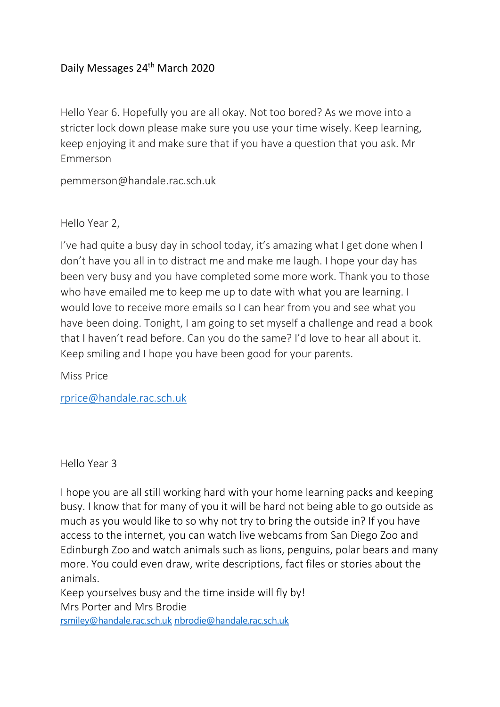## Daily Messages 24<sup>th</sup> March 2020

Hello Year 6. Hopefully you are all okay. Not too bored? As we move into a stricter lock down please make sure you use your time wisely. Keep learning, keep enjoying it and make sure that if you have a question that you ask. Mr Emmerson

pemmerson@handale.rac.sch.uk

Hello Year 2,

I've had quite a busy day in school today, it's amazing what I get done when I don't have you all in to distract me and make me laugh. I hope your day has been very busy and you have completed some more work. Thank you to those who have emailed me to keep me up to date with what you are learning. I would love to receive more emails so I can hear from you and see what you have been doing. Tonight, I am going to set myself a challenge and read a book that I haven't read before. Can you do the same? I'd love to hear all about it. Keep smiling and I hope you have been good for your parents.

Miss Price

[rprice@handale.rac.sch.uk](mailto:rprice@handale.rac.sch.uk)

Hello Year 3

I hope you are all still working hard with your home learning packs and keeping busy. I know that for many of you it will be hard not being able to go outside as much as you would like to so why not try to bring the outside in? If you have access to the internet, you can watch live webcams from San Diego Zoo and Edinburgh Zoo and watch animals such as lions, penguins, polar bears and many more. You could even draw, write descriptions, fact files or stories about the animals.

Keep yourselves busy and the time inside will fly by! Mrs Porter and Mrs Brodie

[rsmiley@handale.rac.sch.uk](mailto:rsmiley@handale.rac.sch.uk) [nbrodie@handale.rac.sch.uk](mailto:nbrodie@handale.rac.sch.uk)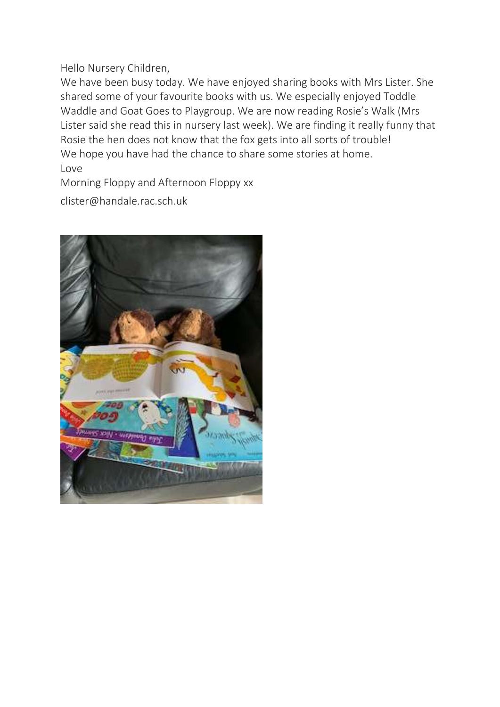Hello Nursery Children,

We have been busy today. We have enjoyed sharing books with Mrs Lister. She shared some of your favourite books with us. We especially enjoyed Toddle Waddle and Goat Goes to Playgroup. We are now reading Rosie's Walk (Mrs Lister said she read this in nursery last week). We are finding it really funny that Rosie the hen does not know that the fox gets into all sorts of trouble! We hope you have had the chance to share some stories at home. Love

Morning Floppy and Afternoon Floppy xx

clister@handale.rac.sch.uk

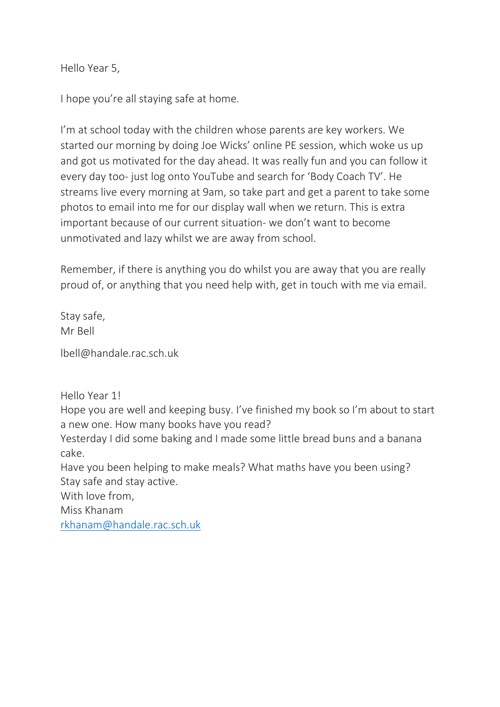Hello Year 5,

I hope you're all staying safe at home.

I'm at school today with the children whose parents are key workers. We started our morning by doing Joe Wicks' online PE session, which woke us up and got us motivated for the day ahead. It was really fun and you can follow it every day too- just log onto YouTube and search for 'Body Coach TV'. He streams live every morning at 9am, so take part and get a parent to take some photos to email into me for our display wall when we return. This is extra important because of our current situation- we don't want to become unmotivated and lazy whilst we are away from school.

Remember, if there is anything you do whilst you are away that you are really proud of, or anything that you need help with, get in touch with me via email.

Stay safe, Mr Bell

lbell@handale.rac.sch.uk

Hello Year 1!

Hope you are well and keeping busy. I've finished my book so I'm about to start a new one. How many books have you read?

Yesterday I did some baking and I made some little bread buns and a banana cake.

Have you been helping to make meals? What maths have you been using? Stay safe and stay active.

With love from,

Miss Khanam

[rkhanam@handale.rac.sch.uk](mailto:rkhanam@handale.rac.sch.uk)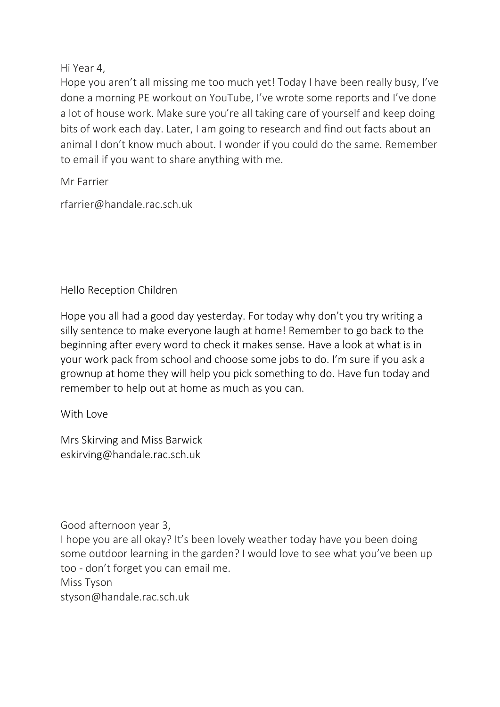Hi Year 4,

Hope you aren't all missing me too much yet! Today I have been really busy, I've done a morning PE workout on YouTube, I've wrote some reports and I've done a lot of house work. Make sure you're all taking care of yourself and keep doing bits of work each day. Later, I am going to research and find out facts about an animal I don't know much about. I wonder if you could do the same. Remember to email if you want to share anything with me.

Mr Farrier

rfarrier@handale.rac.sch.uk

Hello Reception Children

Hope you all had a good day yesterday. For today why don't you try writing a silly sentence to make everyone laugh at home! Remember to go back to the beginning after every word to check it makes sense. Have a look at what is in your work pack from school and choose some jobs to do. I'm sure if you ask a grownup at home they will help you pick something to do. Have fun today and remember to help out at home as much as you can.

With Love

Mrs Skirving and Miss Barwick eskirving@handale.rac.sch.uk

Good afternoon year 3,

I hope you are all okay? It's been lovely weather today have you been doing some outdoor learning in the garden? I would love to see what you've been up too - don't forget you can email me.

Miss Tyson

styson@handale.rac.sch.uk